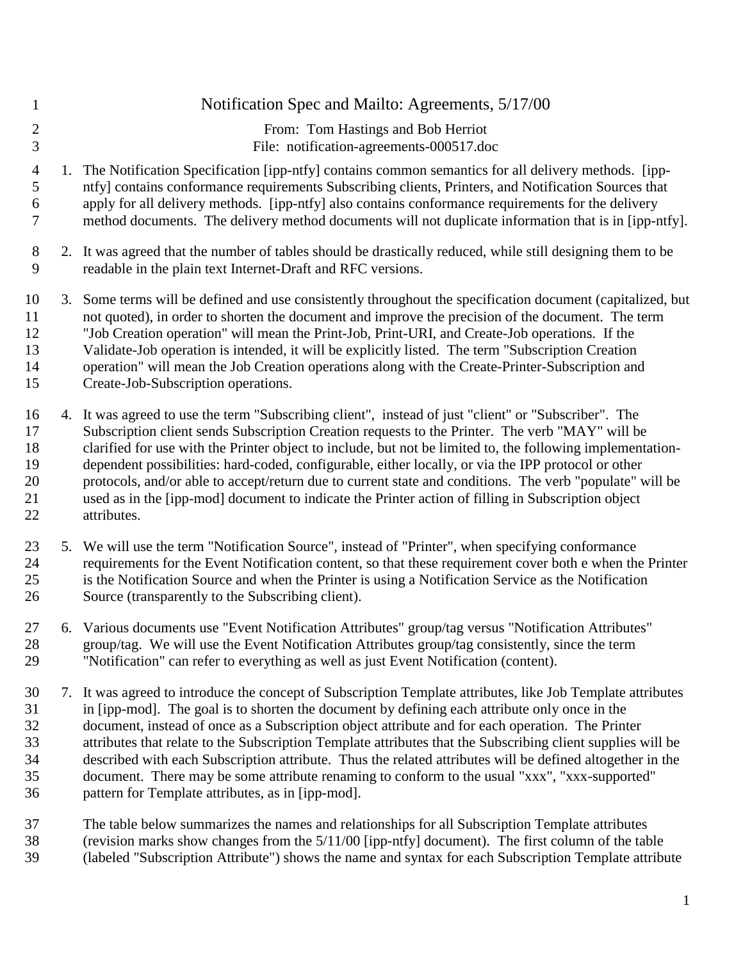| $\mathbf{1}$                           | Notification Spec and Mailto: Agreements, 5/17/00                                                                                                                                                                                                                                                                                                                                                                                                                                                                                                                                                                                                                                                  |
|----------------------------------------|----------------------------------------------------------------------------------------------------------------------------------------------------------------------------------------------------------------------------------------------------------------------------------------------------------------------------------------------------------------------------------------------------------------------------------------------------------------------------------------------------------------------------------------------------------------------------------------------------------------------------------------------------------------------------------------------------|
| $\sqrt{2}$<br>3                        | From: Tom Hastings and Bob Herriot<br>File: notification-agreements-000517.doc                                                                                                                                                                                                                                                                                                                                                                                                                                                                                                                                                                                                                     |
| $\overline{4}$<br>5<br>6<br>7          | The Notification Specification [ipp-ntfy] contains common semantics for all delivery methods. [ipp-<br>ntfy] contains conformance requirements Subscribing clients, Printers, and Notification Sources that<br>apply for all delivery methods. [ipp-ntfy] also contains conformance requirements for the delivery<br>method documents. The delivery method documents will not duplicate information that is in [ipp-ntfy].                                                                                                                                                                                                                                                                         |
| $8\,$<br>9                             | 2. It was agreed that the number of tables should be drastically reduced, while still designing them to be<br>readable in the plain text Internet-Draft and RFC versions.                                                                                                                                                                                                                                                                                                                                                                                                                                                                                                                          |
| 10<br>11<br>12<br>13<br>14<br>15       | 3. Some terms will be defined and use consistently throughout the specification document (capitalized, but<br>not quoted), in order to shorten the document and improve the precision of the document. The term<br>"Job Creation operation" will mean the Print-Job, Print-URI, and Create-Job operations. If the<br>Validate-Job operation is intended, it will be explicitly listed. The term "Subscription Creation"<br>operation" will mean the Job Creation operations along with the Create-Printer-Subscription and<br>Create-Job-Subscription operations.                                                                                                                                  |
| 16<br>17<br>18<br>19<br>20<br>21<br>22 | 4. It was agreed to use the term "Subscribing client", instead of just "client" or "Subscriber". The<br>Subscription client sends Subscription Creation requests to the Printer. The verb "MAY" will be<br>clarified for use with the Printer object to include, but not be limited to, the following implementation-<br>dependent possibilities: hard-coded, configurable, either locally, or via the IPP protocol or other<br>protocols, and/or able to accept/return due to current state and conditions. The verb "populate" will be<br>used as in the [ipp-mod] document to indicate the Printer action of filling in Subscription object<br>attributes.                                      |
| 23<br>24<br>25<br>26                   | 5. We will use the term "Notification Source", instead of "Printer", when specifying conformance<br>requirements for the Event Notification content, so that these requirement cover both e when the Printer<br>is the Notification Source and when the Printer is using a Notification Service as the Notification<br>Source (transparently to the Subscribing client).                                                                                                                                                                                                                                                                                                                           |
| 27<br>28<br>29                         | 6. Various documents use "Event Notification Attributes" group/tag versus "Notification Attributes"<br>group/tag. We will use the Event Notification Attributes group/tag consistently, since the term<br>"Notification" can refer to everything as well as just Event Notification (content).                                                                                                                                                                                                                                                                                                                                                                                                     |
| 30<br>31<br>32<br>33<br>34<br>35<br>36 | 7. It was agreed to introduce the concept of Subscription Template attributes, like Job Template attributes<br>in [ipp-mod]. The goal is to shorten the document by defining each attribute only once in the<br>document, instead of once as a Subscription object attribute and for each operation. The Printer<br>attributes that relate to the Subscription Template attributes that the Subscribing client supplies will be<br>described with each Subscription attribute. Thus the related attributes will be defined altogether in the<br>document. There may be some attribute renaming to conform to the usual "xxx", "xxx-supported"<br>pattern for Template attributes, as in [ipp-mod]. |
| 37<br>38                               | The table below summarizes the names and relationships for all Subscription Template attributes<br>(revision marks show changes from the 5/11/00 [ipp-ntfy] document). The first column of the table                                                                                                                                                                                                                                                                                                                                                                                                                                                                                               |

(labeled "Subscription Attribute") shows the name and syntax for each Subscription Template attribute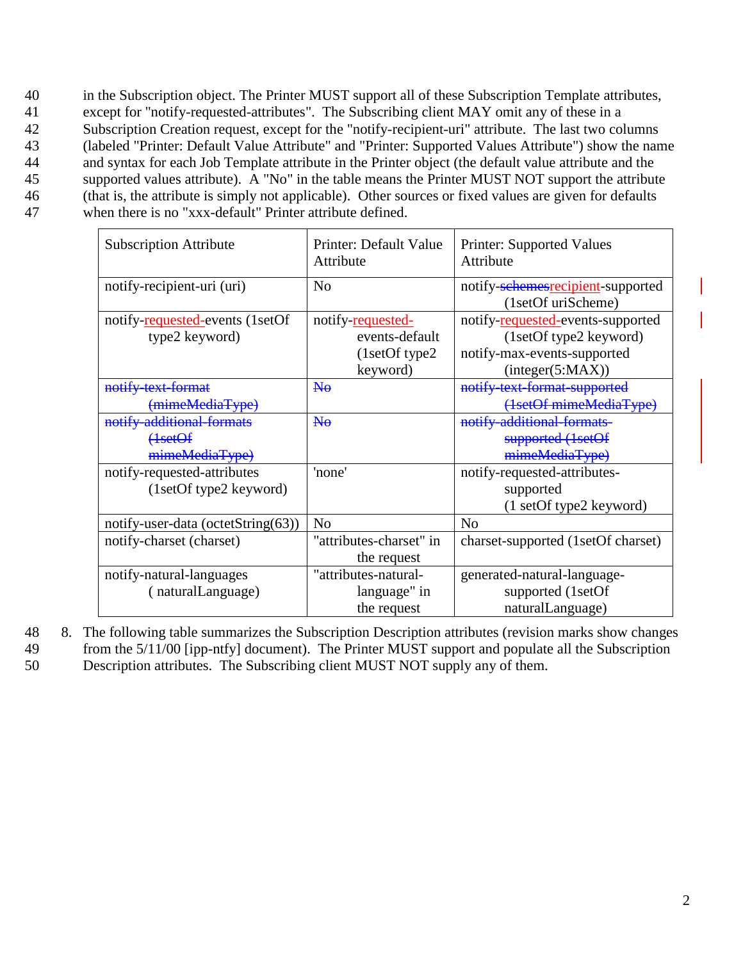in the Subscription object. The Printer MUST support all of these Subscription Template attributes, except for "notify-requested-attributes". The Subscribing client MAY omit any of these in a Subscription Creation request, except for the "notify-recipient-uri" attribute. The last two columns (labeled "Printer: Default Value Attribute" and "Printer: Supported Values Attribute") show the name and syntax for each Job Template attribute in the Printer object (the default value attribute and the 45 supported values attribute). A "No" in the table means the Printer MUST NOT support the attribute (that is, the attribute is simply not applicable). Other sources or fixed values are given for defaults when there is no "xxx-default" Printer attribute defined.

| <b>Subscription Attribute</b>                                     | Printer: Default Value<br>Attribute                               | Printer: Supported Values<br>Attribute                                                                         |  |
|-------------------------------------------------------------------|-------------------------------------------------------------------|----------------------------------------------------------------------------------------------------------------|--|
| notify-recipient-uri (uri)                                        | N <sub>0</sub>                                                    | notify-schemesrecipient-supported<br>(1setOf uriScheme)                                                        |  |
| notify-requested-events (1setOf<br>type2 keyword)                 | notify-requested-<br>events-default<br>(1setOf type2)<br>keyword) | notify-requested-events-supported<br>(1setOf type2 keyword)<br>notify-max-events-supported<br>interger(5:MAX)) |  |
| notify text format<br>(mimeMediaType)                             | $N_{\theta}$                                                      | notify text format supported<br>(1setOf mimeMediaType)                                                         |  |
| notify-additional-formats<br><del>(1setOf</del><br>mimeMediaType) | H <sub>0</sub>                                                    | notify-additional-formats-<br>supported (1setOf<br>mimeMediaType)                                              |  |
| notify-requested-attributes<br>(1setOf type2 keyword)             | 'none'                                                            | notify-requested-attributes-<br>supported<br>(1 setOf type2 keyword)                                           |  |
| notify-user-data (octetString(63))                                | N <sub>0</sub>                                                    | N <sub>o</sub>                                                                                                 |  |
| notify-charset (charset)                                          | "attributes-charset" in<br>the request                            | charset-supported (1setOf charset)                                                                             |  |
| notify-natural-languages<br>(naturalLanguage)                     | "attributes-natural-<br>language" in<br>the request               | generated-natural-language-<br>supported (1setOf<br>naturalLanguage)                                           |  |

48 8. The following table summarizes the Subscription Description attributes (revision marks show changes 49 from the 5/11/00 [ipp-ntfy] document). The Printer MUST support and populate all the Subscription

50 Description attributes. The Subscribing client MUST NOT supply any of them.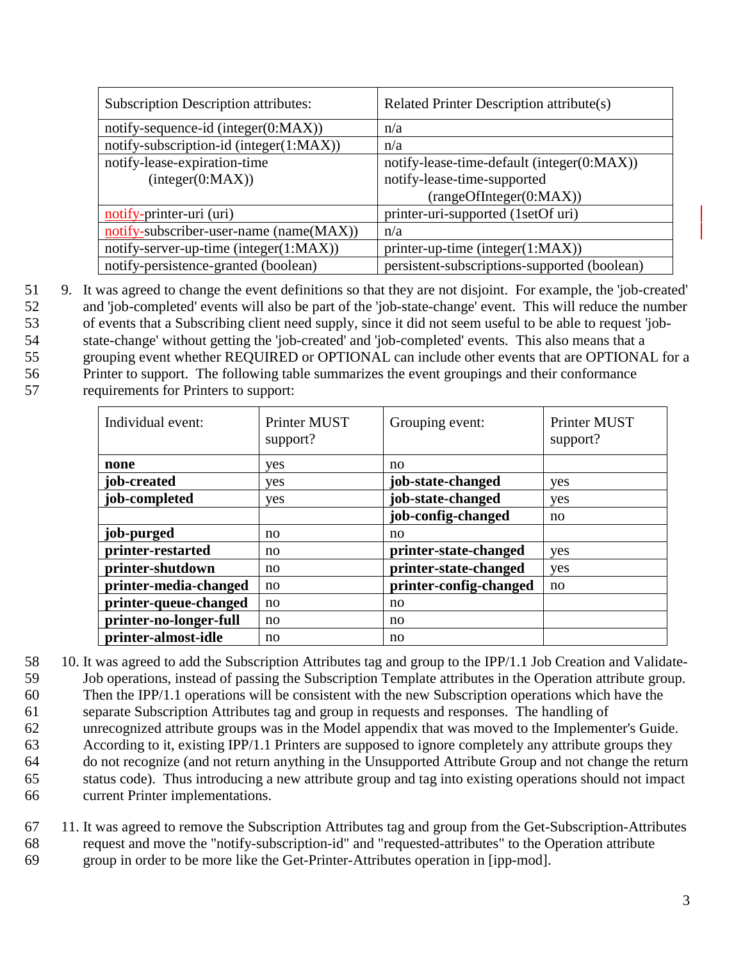| <b>Subscription Description attributes:</b>      | Related Printer Description attribute(s)                                                             |  |
|--------------------------------------------------|------------------------------------------------------------------------------------------------------|--|
| notify-sequence-id (integer(0:MAX))              | n/a                                                                                                  |  |
| notify-subscription-id (integer(1:MAX))          | n/a                                                                                                  |  |
| notify-lease-expiration-time<br>interger(0:MAX)) | notify-lease-time-default (integer(0:MAX))<br>notify-lease-time-supported<br>(rangeOfInteger(0:MAX)) |  |
| notify-printer-uri (uri)                         | printer-uri-supported (1setOf uri)                                                                   |  |
| notify-subscriber-user-name (name(MAX))          | n/a                                                                                                  |  |
| notify-server-up-time (integer(1:MAX))           | printer-up-time (integer(1:MAX))                                                                     |  |
| notify-persistence-granted (boolean)             | persistent-subscriptions-supported (boolean)                                                         |  |

- 51 9. It was agreed to change the event definitions so that they are not disjoint. For example, the 'job-created' 52 and 'job-completed' events will also be part of the 'job-state-change' event. This will reduce the number 53 of events that a Subscribing client need supply, since it did not seem useful to be able to request 'job-54 state-change' without getting the 'job-created' and 'job-completed' events. This also means that a
- 55 grouping event whether REQUIRED or OPTIONAL can include other events that are OPTIONAL for a
- 56 Printer to support. The following table summarizes the event groupings and their conformance
- 57 requirements for Printers to support:

| Individual event:      | Printer MUST<br>support? | Grouping event:        | <b>Printer MUST</b><br>support? |
|------------------------|--------------------------|------------------------|---------------------------------|
| none                   | yes                      | no                     |                                 |
| job-created            | <b>ves</b>               | job-state-changed      | yes                             |
| job-completed          | yes                      | job-state-changed      | yes                             |
|                        |                          | job-config-changed     | no                              |
| job-purged             | no                       | no                     |                                 |
| printer-restarted      | no                       | printer-state-changed  | yes                             |
| printer-shutdown       | no                       | printer-state-changed  | yes                             |
| printer-media-changed  | no                       | printer-config-changed | no                              |
| printer-queue-changed  | no                       | no                     |                                 |
| printer-no-longer-full | no                       | no                     |                                 |
| printer-almost-idle    | no                       | no                     |                                 |

- 58 10. It was agreed to add the Subscription Attributes tag and group to the IPP/1.1 Job Creation and Validate-59 Job operations, instead of passing the Subscription Template attributes in the Operation attribute group. 60 Then the IPP/1.1 operations will be consistent with the new Subscription operations which have the
- 61 separate Subscription Attributes tag and group in requests and responses. The handling of
- 62 unrecognized attribute groups was in the Model appendix that was moved to the Implementer's Guide.
- 63 According to it, existing IPP/1.1 Printers are supposed to ignore completely any attribute groups they
- 64 do not recognize (and not return anything in the Unsupported Attribute Group and not change the return
- 65 status code). Thus introducing a new attribute group and tag into existing operations should not impact
- 66 current Printer implementations.
- 67 11. It was agreed to remove the Subscription Attributes tag and group from the Get-Subscription-Attributes 68 request and move the "notify-subscription-id" and "requested-attributes" to the Operation attribute 69 group in order to be more like the Get-Printer-Attributes operation in [ipp-mod].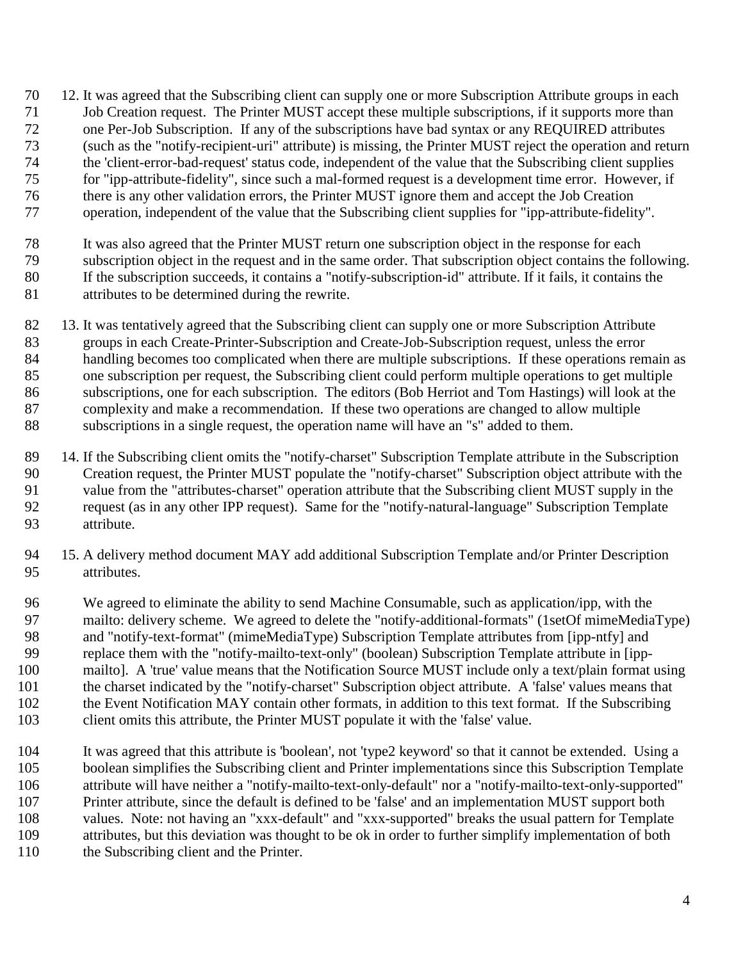- <span id="page-3-0"></span> 12. It was agreed that the Subscribing client can supply one or more Subscription Attribute groups in each Job Creation request. The Printer MUST accept these multiple subscriptions, if it supports more than
- one Per-Job Subscription. If any of the subscriptions have bad syntax or any REQUIRED attributes
- (such as the "notify-recipient-uri" attribute) is missing, the Printer MUST reject the operation and return
- the 'client-error-bad-request' status code, independent of the value that the Subscribing client supplies
- for "ipp-attribute-fidelity", since such a mal-formed request is a development time error. However, if
- there is any other validation errors, the Printer MUST ignore them and accept the Job Creation
- 77 operation, independent of the value that the Subscribing client supplies for "ipp-attribute-fidelity".
- It was also agreed that the Printer MUST return one subscription object in the response for each
- subscription object in the request and in the same order. That subscription object contains the following. If the subscription succeeds, it contains a "notify-subscription-id" attribute. If it fails, it contains the
- attributes to be determined during the rewrite.
- 82 13. It was tentatively agreed that the Subscribing client can supply one or more Subscription Attribute groups in each Create-Printer-Subscription and Create-Job-Subscription request, unless the error handling becomes too complicated when there are multiple subscriptions. If these operations remain as one subscription per request, the Subscribing client could perform multiple operations to get multiple subscriptions, one for each subscription. The editors (Bob Herriot and Tom Hastings) will look at the complexity and make a recommendation. If these two operations are changed to allow multiple subscriptions in a single request, the operation name will have an "s" added to them.
- 14. If the Subscribing client omits the "notify-charset" Subscription Template attribute in the Subscription Creation request, the Printer MUST populate the "notify-charset" Subscription object attribute with the value from the "attributes-charset" operation attribute that the Subscribing client MUST supply in the request (as in any other IPP request). Same for the "notify-natural-language" Subscription Template attribute.
- 15. A delivery method document MAY add additional Subscription Template and/or Printer Description attributes.
- We agreed to eliminate the ability to send Machine Consumable, such as application/ipp, with the 97 mailto: delivery scheme. We agreed to delete the "notify-additional-formats" (1setOf mimeMediaType) and "notify-text-format" (mimeMediaType) Subscription Template attributes from [ipp-ntfy] and replace them with the "notify-mailto-text-only" (boolean) Subscription Template attribute in [ipp- mailto]. A 'true' value means that the Notification Source MUST include only a text/plain format using the charset indicated by the "notify-charset" Subscription object attribute. A 'false' values means that the Event Notification MAY contain other formats, in addition to this text format. If the Subscribing client omits this attribute, the Printer MUST populate it with the 'false' value.
- It was agreed that this attribute is 'boolean', not 'type2 keyword' so that it cannot be extended. Using a boolean simplifies the Subscribing client and Printer implementations since this Subscription Template attribute will have neither a "notify-mailto-text-only-default" nor a "notify-mailto-text-only-supported" Printer attribute, since the default is defined to be 'false' and an implementation MUST support both values. Note: not having an "xxx-default" and "xxx-supported" breaks the usual pattern for Template attributes, but this deviation was thought to be ok in order to further simplify implementation of both the Subscribing client and the Printer.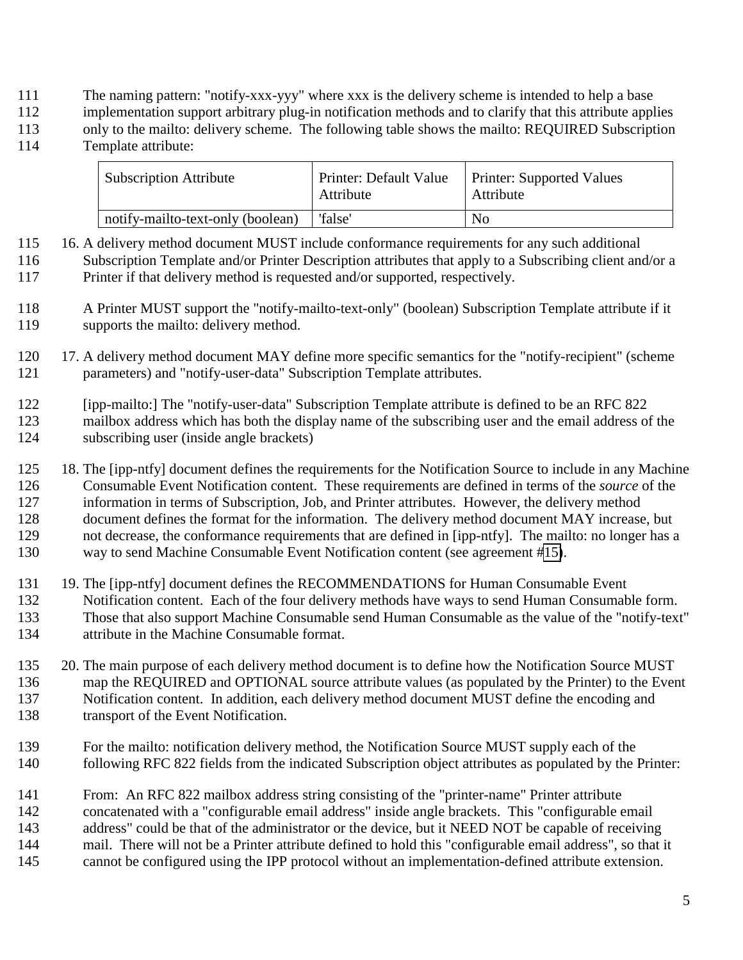- <span id="page-4-0"></span>The naming pattern: "notify-xxx-yyy" where xxx is the delivery scheme is intended to help a base
- implementation support arbitrary plug-in notification methods and to clarify that this attribute applies
- only to the mailto: delivery scheme. The following table shows the mailto: REQUIRED Subscription
- Template attribute:

| <b>Subscription Attribute</b>     | Printer: Default Value<br>Attribute | <b>Printer: Supported Values</b><br>Attribute |
|-----------------------------------|-------------------------------------|-----------------------------------------------|
| notify-mailto-text-only (boolean) | 'false'                             | No                                            |

- 16. A delivery method document MUST include conformance requirements for any such additional Subscription Template and/or Printer Description attributes that apply to a Subscribing client and/or a Printer if that delivery method is requested and/or supported, respectively.
- A Printer MUST support the "notify-mailto-text-only" (boolean) Subscription Template attribute if it supports the mailto: delivery method.
- 17. A delivery method document MAY define more specific semantics for the "notify-recipient" (scheme parameters) and "notify-user-data" Subscription Template attributes.

- 18. The [ipp-ntfy] document defines the requirements for the Notification Source to include in any Machine Consumable Event Notification content. These requirements are defined in terms of the *source* of the information in terms of Subscription, Job, and Printer attributes. However, the delivery method document defines the format for the information. The delivery method document MAY increase, but not decrease, the conformance requirements that are defined in [ipp-ntfy]. The mailto: no longer has a way to send Machine Consumable Event Notification content (see agreement [#15\)](#page-3-0).
- 19. The [ipp-ntfy] document defines the RECOMMENDATIONS for Human Consumable Event Notification content. Each of the four delivery methods have ways to send Human Consumable form. Those that also support Machine Consumable send Human Consumable as the value of the "notify-text" attribute in the Machine Consumable format.
- 20. The main purpose of each delivery method document is to define how the Notification Source MUST map the REQUIRED and OPTIONAL source attribute values (as populated by the Printer) to the Event Notification content. In addition, each delivery method document MUST define the encoding and transport of the Event Notification.
- For the mailto: notification delivery method, the Notification Source MUST supply each of the following RFC 822 fields from the indicated Subscription object attributes as populated by the Printer:
- From: An RFC 822 mailbox address string consisting of the "printer-name" Printer attribute
- concatenated with a "configurable email address" inside angle brackets. This "configurable email
- address" could be that of the administrator or the device, but it NEED NOT be capable of receiving
- mail. There will not be a Printer attribute defined to hold this "configurable email address", so that it
- cannot be configured using the IPP protocol without an implementation-defined attribute extension.

 [ipp-mailto:] The "notify-user-data" Subscription Template attribute is defined to be an RFC 822 mailbox address which has both the display name of the subscribing user and the email address of the subscribing user (inside angle brackets)